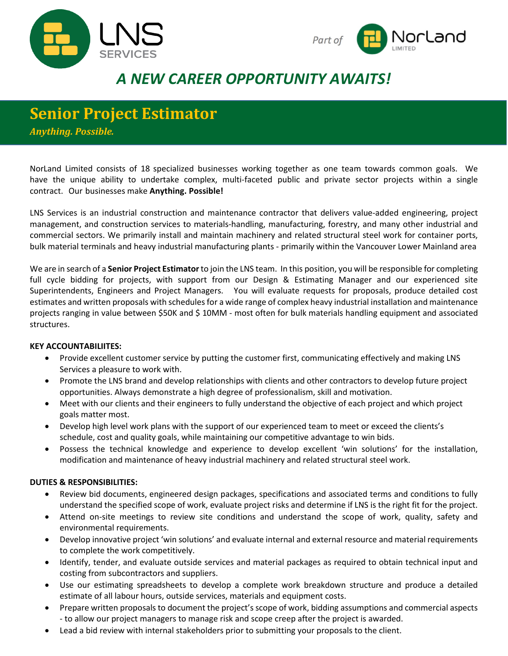



# *A NEW CAREER OPPORTUNITY AWAITS!*

## **Senior Project Estimator**

*Anything. Possible.*

NorLand Limited consists of 18 specialized businesses working together as one team towards common goals. We have the unique ability to undertake complex, multi-faceted public and private sector projects within a single contract. Our businesses make **Anything. Possible!**

LNS Services is an industrial construction and maintenance contractor that delivers value-added engineering, project management, and construction services to materials-handling, manufacturing, forestry, and many other industrial and commercial sectors. We primarily install and maintain machinery and related structural steel work for container ports, bulk material terminals and heavy industrial manufacturing plants - primarily within the Vancouver Lower Mainland area

We are in search of a **Senior Project Estimator**to join the LNS team. In this position, you will be responsible for completing full cycle bidding for projects, with support from our Design & Estimating Manager and our experienced site Superintendents, Engineers and Project Managers. You will evaluate requests for proposals, produce detailed cost estimates and written proposals with schedules for a wide range of complex heavy industrial installation and maintenance projects ranging in value between \$50K and \$ 10MM - most often for bulk materials handling equipment and associated structures.

#### **KEY ACCOUNTABILIITES:**

- Provide excellent customer service by putting the customer first, communicating effectively and making LNS Services a pleasure to work with.
- Promote the LNS brand and develop relationships with clients and other contractors to develop future project opportunities. Always demonstrate a high degree of professionalism, skill and motivation.
- Meet with our clients and their engineers to fully understand the objective of each project and which project goals matter most.
- Develop high level work plans with the support of our experienced team to meet or exceed the clients's schedule, cost and quality goals, while maintaining our competitive advantage to win bids.
- Possess the technical knowledge and experience to develop excellent 'win solutions' for the installation, modification and maintenance of heavy industrial machinery and related structural steel work.

### **DUTIES & RESPONSIBILITIES:**

- Review bid documents, engineered design packages, specifications and associated terms and conditions to fully understand the specified scope of work, evaluate project risks and determine if LNS is the right fit for the project.
- Attend on-site meetings to review site conditions and understand the scope of work, quality, safety and environmental requirements.
- Develop innovative project 'win solutions' and evaluate internal and external resource and material requirements to complete the work competitively.
- Identify, tender, and evaluate outside services and material packages as required to obtain technical input and costing from subcontractors and suppliers.
- Use our estimating spreadsheets to develop a complete work breakdown structure and produce a detailed estimate of all labour hours, outside services, materials and equipment costs.
- Prepare written proposals to document the project's scope of work, bidding assumptions and commercial aspects - to allow our project managers to manage risk and scope creep after the project is awarded.
- Lead a bid review with internal stakeholders prior to submitting your proposals to the client.